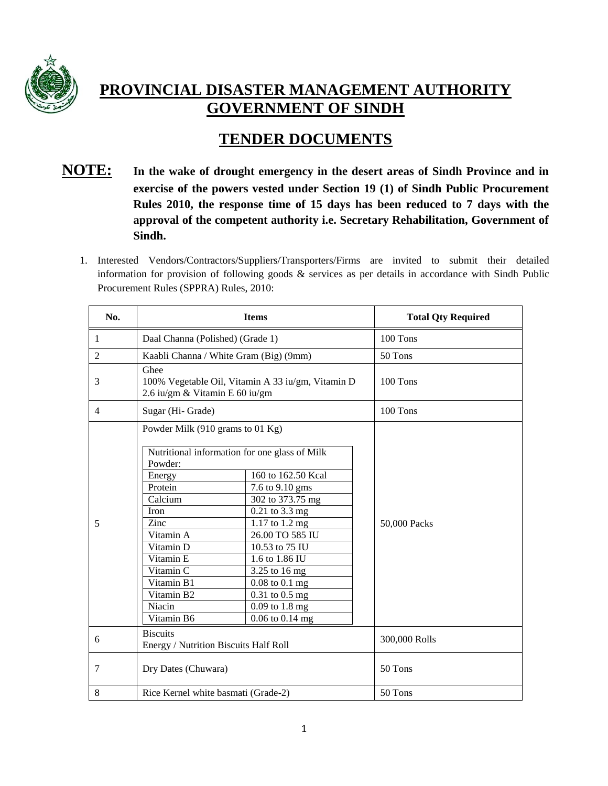

# **PROVINCIAL DISASTER MANAGEMENT AUTHORITY GOVERNMENT OF SINDH**

# **TENDER DOCUMENTS**

## **NOTE: In the wake of drought emergency in the desert areas of Sindh Province and in exercise of the powers vested under Section 19 (1) of Sindh Public Procurement Rules 2010, the response time of 15 days has been reduced to 7 days with the approval of the competent authority i.e. Secretary Rehabilitation, Government of Sindh.**

1. Interested Vendors/Contractors/Suppliers/Transporters/Firms are invited to submit their detailed information for provision of following goods & services as per details in accordance with Sindh Public Procurement Rules (SPPRA) Rules, 2010:

| No.            | <b>Items</b>                                                                                                                                                                                                                                         |                                                                                                                                                                                                                                                      | <b>Total Qty Required</b> |
|----------------|------------------------------------------------------------------------------------------------------------------------------------------------------------------------------------------------------------------------------------------------------|------------------------------------------------------------------------------------------------------------------------------------------------------------------------------------------------------------------------------------------------------|---------------------------|
| 1              | Daal Channa (Polished) (Grade 1)                                                                                                                                                                                                                     |                                                                                                                                                                                                                                                      | 100 Tons                  |
| $\overline{2}$ | Kaabli Channa / White Gram (Big) (9mm)                                                                                                                                                                                                               |                                                                                                                                                                                                                                                      | 50 Tons                   |
| 3              | Ghee<br>100% Vegetable Oil, Vitamin A 33 iu/gm, Vitamin D<br>2.6 iu/gm & Vitamin E 60 iu/gm                                                                                                                                                          |                                                                                                                                                                                                                                                      | 100 Tons                  |
| 4              | Sugar (Hi- Grade)                                                                                                                                                                                                                                    |                                                                                                                                                                                                                                                      | 100 Tons                  |
| 5              | Powder Milk (910 grams to 01 Kg)<br>Nutritional information for one glass of Milk<br>Powder:<br>Energy<br>Protein<br>Calcium<br>Iron<br>Zinc<br>Vitamin A<br>Vitamin D<br>Vitamin E<br>Vitamin C<br>Vitamin B1<br>Vitamin B2<br>Niacin<br>Vitamin B6 | 160 to 162.50 Kcal<br>7.6 to 9.10 gms<br>302 to 373.75 mg<br>0.21 to 3.3 mg<br>1.17 to 1.2 mg<br>26.00 TO 585 IU<br>10.53 to 75 IU<br>1.6 to 1.86 IU<br>3.25 to 16 mg<br>$0.08$ to $0.1$ mg<br>0.31 to 0.5 mg<br>$0.09$ to 1.8 mg<br>0.06 to 0.14 mg | 50,000 Packs              |
| 6              | <b>Biscuits</b><br>Energy / Nutrition Biscuits Half Roll                                                                                                                                                                                             |                                                                                                                                                                                                                                                      | 300,000 Rolls             |
| 7              | Dry Dates (Chuwara)                                                                                                                                                                                                                                  |                                                                                                                                                                                                                                                      | 50 Tons                   |
| 8              | Rice Kernel white basmati (Grade-2)                                                                                                                                                                                                                  |                                                                                                                                                                                                                                                      | 50 Tons                   |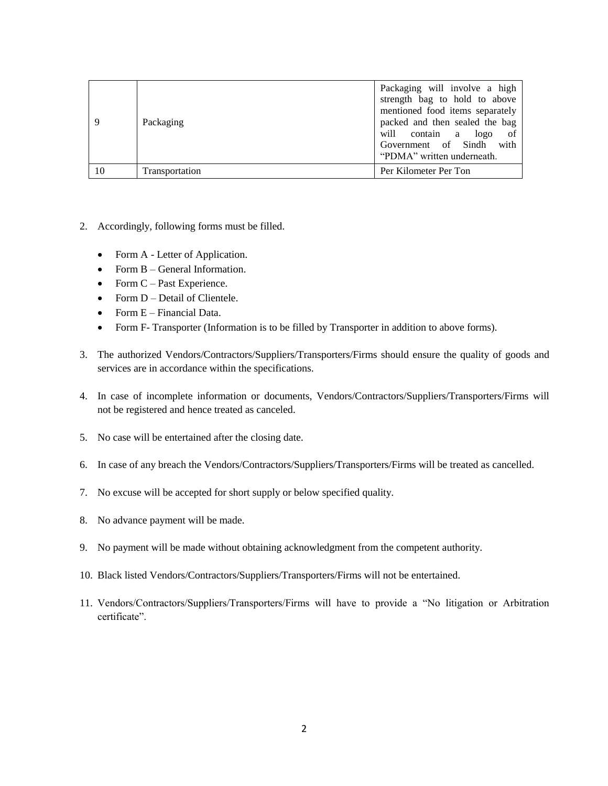| 9  | Packaging      | Packaging will involve a high<br>strength bag to hold to above<br>mentioned food items separately<br>packed and then sealed the bag<br>will contain a logo<br>of<br>Government of Sindh<br>with<br>"PDMA" written underneath. |
|----|----------------|-------------------------------------------------------------------------------------------------------------------------------------------------------------------------------------------------------------------------------|
| 10 | Transportation | Per Kilometer Per Ton                                                                                                                                                                                                         |

- 2. Accordingly, following forms must be filled.
	- Form A Letter of Application.
	- Form B General Information.
	- Form  $C$  Past Experience.
	- Form D Detail of Clientele.
	- Form E Financial Data.
	- Form F- Transporter (Information is to be filled by Transporter in addition to above forms).
- 3. The authorized Vendors/Contractors/Suppliers/Transporters/Firms should ensure the quality of goods and services are in accordance within the specifications.
- 4. In case of incomplete information or documents, Vendors/Contractors/Suppliers/Transporters/Firms will not be registered and hence treated as canceled.
- 5. No case will be entertained after the closing date.
- 6. In case of any breach the Vendors/Contractors/Suppliers/Transporters/Firms will be treated as cancelled.
- 7. No excuse will be accepted for short supply or below specified quality.
- 8. No advance payment will be made.
- 9. No payment will be made without obtaining acknowledgment from the competent authority.
- 10. Black listed Vendors/Contractors/Suppliers/Transporters/Firms will not be entertained.
- 11. Vendors/Contractors/Suppliers/Transporters/Firms will have to provide a "No litigation or Arbitration certificate".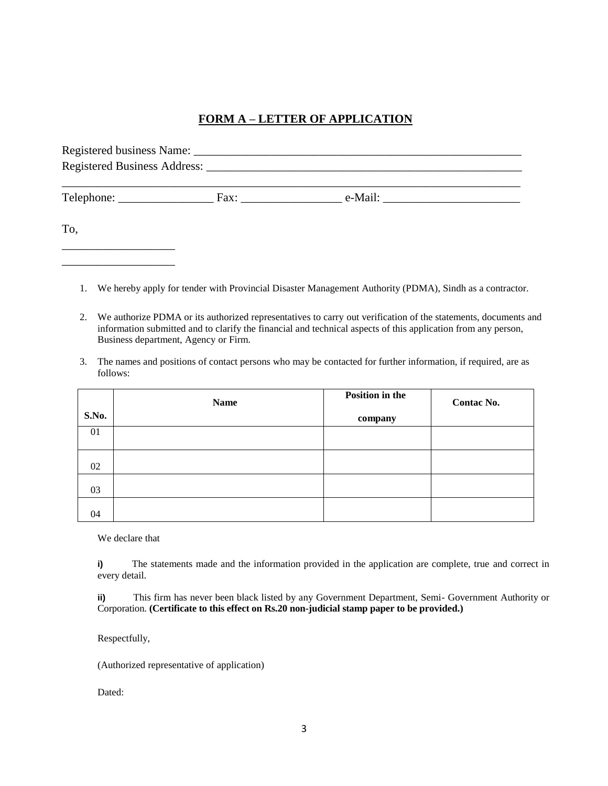## **FORM A – LETTER OF APPLICATION**

|     | Fax: e-Mail: |
|-----|--------------|
| To, |              |

- 1. We hereby apply for tender with Provincial Disaster Management Authority (PDMA), Sindh as a contractor.
- 2. We authorize PDMA or its authorized representatives to carry out verification of the statements, documents and information submitted and to clarify the financial and technical aspects of this application from any person, Business department, Agency or Firm.
- 3. The names and positions of contact persons who may be contacted for further information, if required, are as follows:

|       | <b>Name</b> | <b>Position in the</b> | Contac No. |
|-------|-------------|------------------------|------------|
| S.No. |             | company                |            |
| 01    |             |                        |            |
|       |             |                        |            |
| 02    |             |                        |            |
| 03    |             |                        |            |
| 04    |             |                        |            |

We declare that

\_\_\_\_\_\_\_\_\_\_\_\_\_\_\_\_\_\_\_

**i)** The statements made and the information provided in the application are complete, true and correct in every detail.

**ii)** This firm has never been black listed by any Government Department, Semi- Government Authority or Corporation. **(Certificate to this effect on Rs.20 non-judicial stamp paper to be provided.)**

Respectfully,

(Authorized representative of application)

Dated: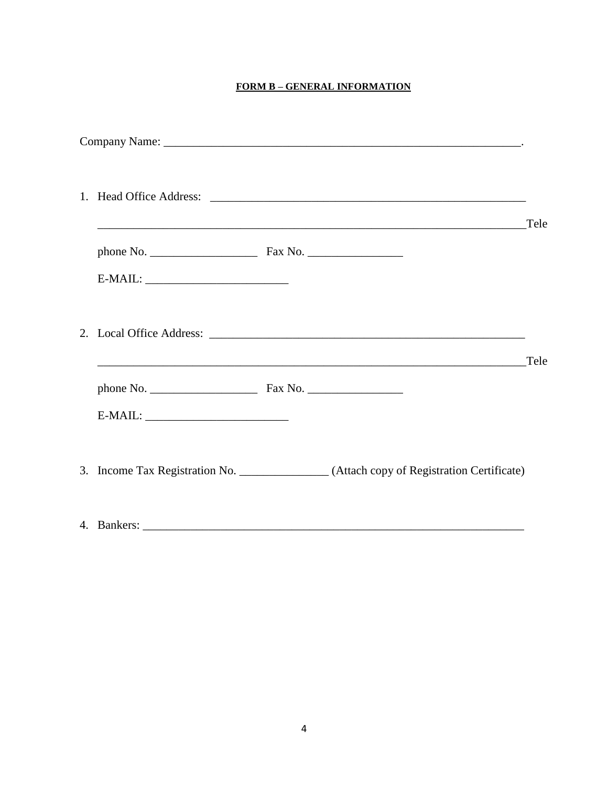#### **FORM B-GENERAL INFORMATION**

|  |                                                                                                                      | Tele |
|--|----------------------------------------------------------------------------------------------------------------------|------|
|  |                                                                                                                      |      |
|  |                                                                                                                      | Tele |
|  | <u> 1989 - Jan James James James James James James James James James James James James James James James James J</u> |      |
|  |                                                                                                                      |      |
|  | 3. Income Tax Registration No. _______________(Attach copy of Registration Certificate)                              |      |
|  |                                                                                                                      |      |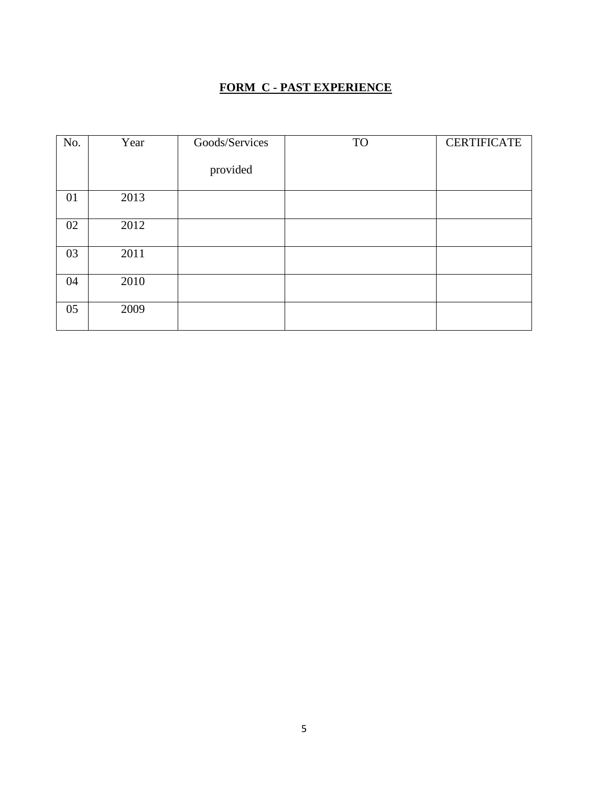## **FORM C - PAST EXPERIENCE**

| No. | Year | Goods/Services | <b>TO</b> | <b>CERTIFICATE</b> |
|-----|------|----------------|-----------|--------------------|
|     |      | provided       |           |                    |
| 01  | 2013 |                |           |                    |
| 02  | 2012 |                |           |                    |
| 03  | 2011 |                |           |                    |
| 04  | 2010 |                |           |                    |
| 05  | 2009 |                |           |                    |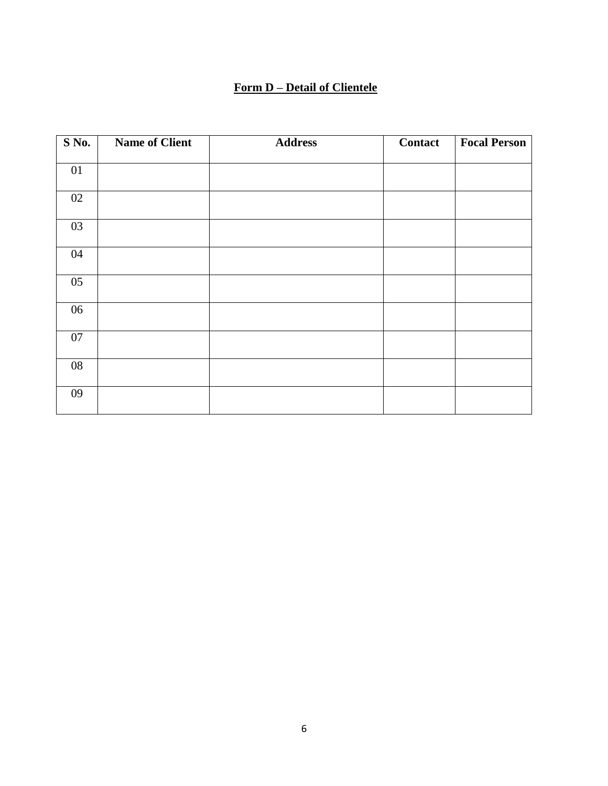### **Form D – Detail of Clientele**

| S No.           | <b>Name of Client</b> | <b>Address</b> | <b>Contact</b> | <b>Focal Person</b> |
|-----------------|-----------------------|----------------|----------------|---------------------|
| $\overline{01}$ |                       |                |                |                     |
| $02\,$          |                       |                |                |                     |
| 03              |                       |                |                |                     |
| 04              |                       |                |                |                     |
| 05              |                       |                |                |                     |
| 06              |                       |                |                |                     |
| 07              |                       |                |                |                     |
| 08              |                       |                |                |                     |
| 09              |                       |                |                |                     |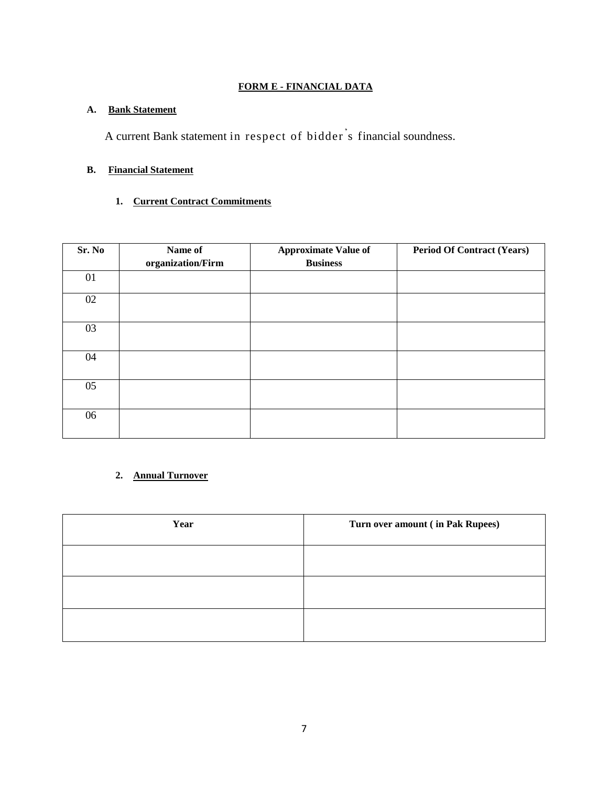#### **FORM E - FINANCIAL DATA**

#### **A. Bank Statement**

A current Bank statement in respect of bidder' s financial soundness.

#### **B. Financial Statement**

#### **1. Current Contract Commitments**

| Sr. No | Name of<br>organization/Firm | <b>Approximate Value of</b><br><b>Business</b> | <b>Period Of Contract (Years)</b> |
|--------|------------------------------|------------------------------------------------|-----------------------------------|
| 01     |                              |                                                |                                   |
| $02\,$ |                              |                                                |                                   |
| 03     |                              |                                                |                                   |
| 04     |                              |                                                |                                   |
| 05     |                              |                                                |                                   |
| 06     |                              |                                                |                                   |

## **2. Annual Turnover**

| Year | Turn over amount (in Pak Rupees) |
|------|----------------------------------|
|      |                                  |
|      |                                  |
|      |                                  |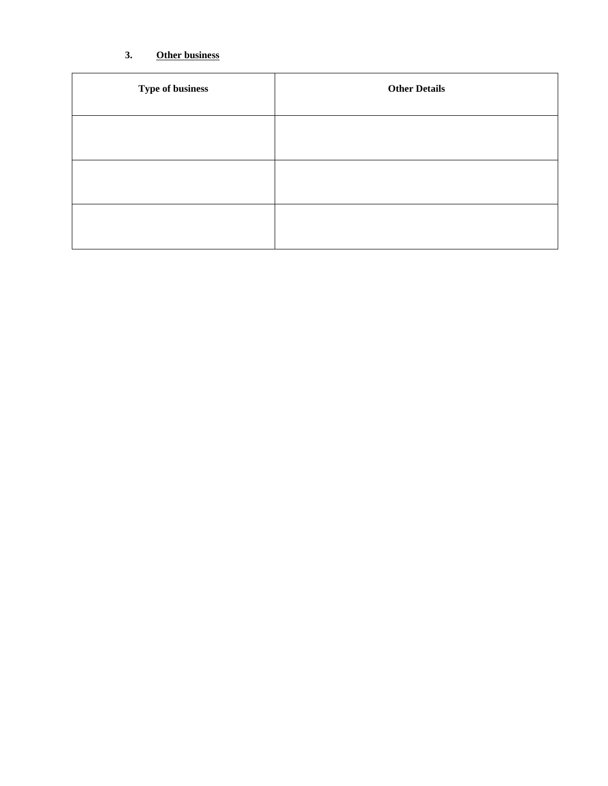## **3. Other business**

| Type of business | <b>Other Details</b> |
|------------------|----------------------|
|                  |                      |
|                  |                      |
|                  |                      |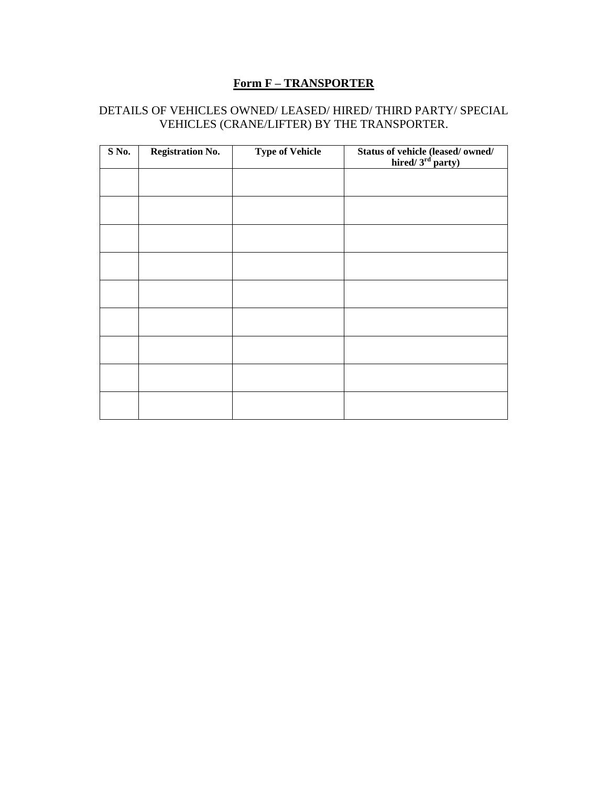## **Form F – TRANSPORTER**

## DETAILS OF VEHICLES OWNED/ LEASED/ HIRED/ THIRD PARTY/ SPECIAL VEHICLES (CRANE/LIFTER) BY THE TRANSPORTER.

| S No. | <b>Registration No.</b> | <b>Type of Vehicle</b> | Status of vehicle (leased/ owned/<br>hired/ $3rd$ party) |
|-------|-------------------------|------------------------|----------------------------------------------------------|
|       |                         |                        |                                                          |
|       |                         |                        |                                                          |
|       |                         |                        |                                                          |
|       |                         |                        |                                                          |
|       |                         |                        |                                                          |
|       |                         |                        |                                                          |
|       |                         |                        |                                                          |
|       |                         |                        |                                                          |
|       |                         |                        |                                                          |
|       |                         |                        |                                                          |